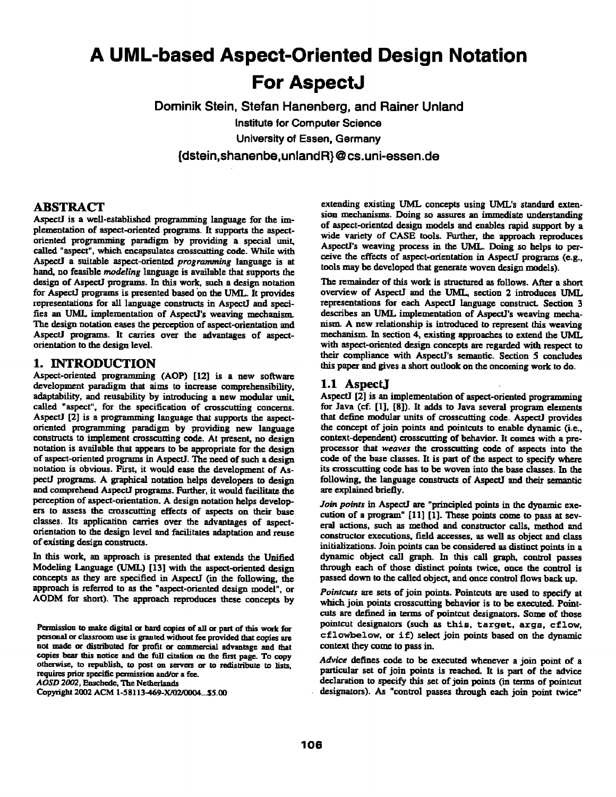# **A UML-based Aspect-Oriented Design Notation For AspectJ**

**Dominik Stein, Stefan Hanenberg, and Rainer Unland**  Institute for Computer Science University of Essen, Germany **{dstein,shanenbe,unland R} @ cs.uni-essen.de** 

# **ABSTRACT**

AspectJ is a well-established programming language for the implementation of aspect-oriented programs. It supports the aspectoriented programming paradigm by providing a special unit, called "aspect", which encapsulates crosscutting code. While with Aspect] a suitable aspect-oriented *programming* language is at hand, no feasible *modeling* language is available that supports the design of AspectJ programs. In this work, such a design notation for AspectJ programs is presented based on the UML. It provides representations for all language constructs in AspectJ and specifies an UML implementation of AspectJ's weaving mechanism. The design notation eases the perception of aspect-orientation and Aspect] programs. It carries over the advantages of aspectorientation to the design level.

#### **1. INTRODUCTION**

Aspect-oriented programming (AOP) [12] is a new software development paradigm that aims to increase comprehensibility, adaptability, and reusability by introducing a new modular unit. called "aspect", for the specification of crosscutting concerns. AspectJ [2] is a programming language that supports the aspectoriented programming paradigm by providing new language constructs to implement crosscutting code. At present, no design notation is available that appears to be appropriate for the design of aspect-oriented programs in AspectJ. The need of such a design notation is obvious. First, it would ease the development of AspectJ programs. A graphical notation helps developers to design and comprehend AspectJ programs. Further, it would facilitate the perception of aspect-orientation. A design notation helps developers to assess the erossentfing effects of aspects on their base classes. Its application carries over the advantages of aspectorientation to the design level and facilitates adaptation and reuse of existing design constructs.

In this work, an approach is presented that extends the Unified Modeling Language (UML) [13] with the aspect-oriented design concepts as they are specified in AspectJ (in the following, the approach is referred to as the "aspect-oriented design model", or AODM for short). The approach reproduces these concepts by

Permission to make digital or hard copies of all or part of this work for personal or classroom use is granted without fee provided that copies are not made or distributed for profit or commercial advantage and that copies bear this notice and the full citation on the first page. To copy otherwise, to repubfish, to post on servers or to redislribute to lists. requires prior specific permission and/or a fee. *AOSD 2002,* Ensched¢. The Netherlands

Copyright 2002 ACM 1-58113-469-X/02/0004...\$5.00

extending existing UML concepts using UML's standard extension mechanisms. Doing so assures an immediate understanding of aspect-oriented design models end enables rapid support by a wide variety of CASE tools. Further, the approach reproduces AspectJ's weaving process in the UML. Doing so helps to perceive the effects of aspect-orientation in AspectJ programs (e.g., tools may be developed that generate woven design models).

The remainder of this work is structured as follows. After a short overview of AspectJ and the UML, section 2 introduces UML representations for each AspectJ language construct. Section 3 describes an UML implementation of AspectJ's weaving mechanism. A new relationship is introduced to represent this weaving mechanism. In section 4, existing approaches to extend the UML with aspect-oriented design concepts are regarded with respect to their compliance with AspectI's semantic. Section 5 concludes this paper and gives a short outlook on the oncoming work to do.

### **1.1 AspectJ**

Aspect] [2] is an implementation of aspect-oriented programming for Java (cf. [1], [8]). It adds to Java several program elements that define modular units of crosscutting code. AspectJ provides the concept of join points end pointcuts to enable dynamic (i.e., context-dependent) crosscutting of behavior. It comes with a preprocessor that *weaves the* crosscutting code of aspects into the code of the base classes. It is part of the aspect to specify where its crosscutting code has to be woven into the base classes. In the following, the language constructs of AspectJ and their semantic are explained briefly.

Join points in AspectJ are "principled points in the dynamic execution of a program" [11] [1]. These points come to pass at several actions, such as method and constructor calls, method and constructor executions, field accesses, as well as object and class initializations. Join points can be considered as distinct points in a dynamic object call graph. In this call graph, control passes through each of those distinct points twice, once the control is passed down to the called object, and once control flows back up.

*Pointcuts are* sets of join points. Pointcuts are used to specify at which join points crosscutting behavior is to be executed. Pointcuts are defined in terms of pointcut designators. Some of those pointcut designators (such as this, target, args, cflow, cflowbelow, or if) select join points based on the dynamic context they come to pass in.

*Advice* defines code to be executed whenever a join point of a particular set of join points is reached. It is part of the advice declaration to specify this set of join points (in terms of pointcut designators). As "control passes through each join point twice"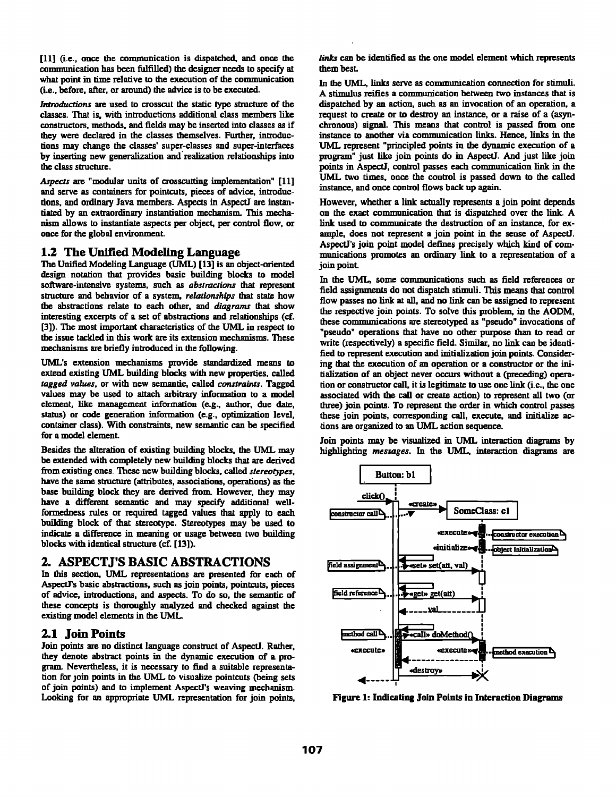[11] (i.e., once the communication is dispatched, and once the communication has been fulfilled) the designer needs to specify at what point in time relative to the execution of the communication (i.e., before, after, or around) the advice is to be executed.

*Introductions are* used to crosscut the static type structure of the classes. That is, with introductions additional class members like constructors, methods, and fields may be inserted into classes as if they were declared in the classes themselves. Further, introductions may change the classes' super-classes and super-interfaees by inserting new generalization and realization relationships into the class structure.

Aspects are "modular units of crosscutting implementation" [11] and serve as containers for pointcuts, pieces of advice, introductions, and ordinary Java members. Aspects in AspectJ are instantiated by an extraordinary instantiation mechanism. This mechanism allows to instantiate aspects per object, per control flow, or once for the global environment.

### 1,2 The Unified Modeling Language

The Unified Modeling Language (UML) [13] is an object-oriented design notation that provides basic building blocks to model software-intensive systems, such as *abstractions that represent*  structure and behavior of a system, *relationships that* state how the abslractions relate to each other, and *diagrams that* show interesting excerpts of a set of abstractions and relatonships (cf. [3]). The most important characteristics of the UML in respect to the issue tackled in this work are its extension mechanisms. These mechanisms are briefly introduced in the following.

UML's extension mechanisms provide standardized means to extend existing UML building blocks with new properties, called *tagged values,* or with new semantic, called *constraints. Tagged*  values may be used to attach arbitrary information to a model element, like management information (e.g., author, due date, status) or code generation information (e.g., optimization level, container class). With constraints, new semantic can be specified for a model element.

Besides the alteration of existing building blocks, the UML may be extended with completely new building blocks that are derived from existing ones. These new building blocks, called *stereotypes,*  have the same structure (attributes, associations, operations) as the base building block they are derived from. However, they may have a different semantic and may specify additional wellformedness rules or required tagged values that apply to each building block of that stereotype. Stereotypes may be used to indicate a difference in meaning or usage between two building blocks with identical structure (cf. [13]).

# **2. ASPECTJ'S BASIC ABSTRACTIONS**

In this section, UML representations are presented for each of AspectYs basic abstractions, such as join points, pointcuts, pieces of advice, introductions, and aspects. To do so, the semantic of these concepts is thoroughly analyzed and checked against the existing model elements in the UML.

# **2.1 Join Points**

Join points are no distinct language construct of AspectJ. Rather. they denote abslract points in the dynamic execution of a program. Nevertheless, it is necessary to find a suitable representation for join points in the UML to visualize pointcuts (being sets of join points) and to implement AspectJ's weaving mechanism. Looking for an appropriate UML representation for join points, links can be identified as the one model element which represents them best.

In the UML, links serve as communication connection for stimuli. A stimulus reifies a communication between two instances that is dispatched by an action, such as an invocation of an operation, a request to create or to destroy an instance, or a raise of a (asynchronous) signal. This means that control is passed from one instance to another via communication links. Hence, links in the UML represent "principled points in the dynamic execution of a program" just like join points do in AspectJ. And just like join points in AspectJ, control passes each communication link in the UML two times, once the control is passed down to the called instance, and once control flows back up again.

However, whether a link actually represents a join point depends on the exact communication that is dispatched over the link. A link used to communicate the destruction of an instance, for example, does not represent a join point in the sense of AspectJ. AspectJ's join point model defines precisely which kind of commuuicafions promotes an ordinary link to a representation of a join point\_

In the UML, some communications such as field references or field assignments do not dispatch stimuli. This means that control flow passes no link at all, and no link can be assigned to represent the respective join points. To solve this problem, in the AODM. these communications are stereotyped as "pseudo" invocations of "pseudo" operations that have no other purpose than to read or write (respectively) a specific field. Similar, no link can be identified to represent execution and initialization join points. Considering that the execution of an operation or a constructor or the initialization of an object never occurs without a (preceding) operation or constructor call, it is legitimate to use one link (i.e., the one associated with the call or create action) to represent all two (or three) join points. To represent the order in which control passes these join points, corresponding call, execute, and initialize actions are organized to an UML action sequence.

Join points may be visualized in UML interaction diagrams by highlighting *messages. In the UML,* interaction diagrama are



Figure 1: Indicating Join Points in Interaction Diagrams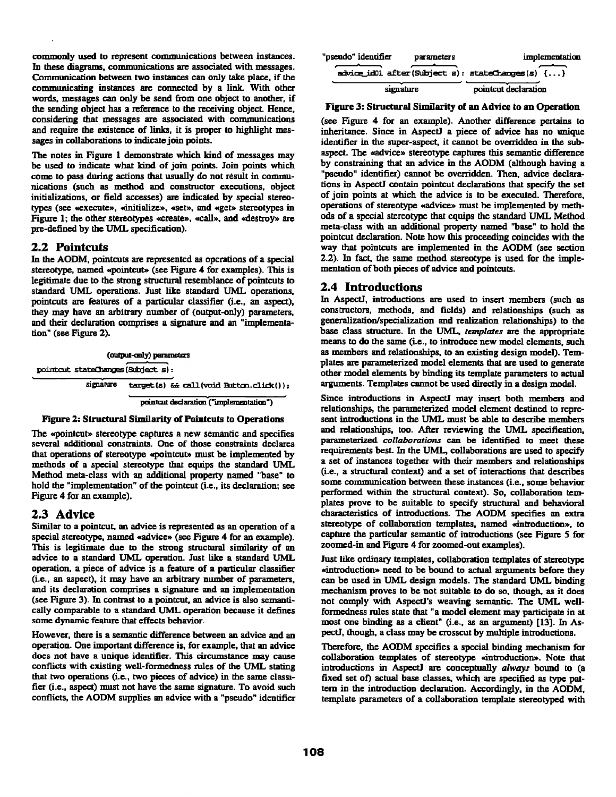commonly used to represent communications between instances. In these diagrams, communications are associated with messages. Communication between two instances can only take place, if the communicating instances are connected by a link. With other words, messages can only be send from one object to another, if the sending object has a reference to the receiving object. Hence, considering that messages are associated with communications and require the existence of links, it is proper to highlight messages in collaborations to indicate join points.

The notes in Figure 1 demonstrate which kind of messages may be used to indicate what kind of join points. Join points which come to pass during actions that usually do not result in communications (such as method and constructor executions, object initializations, or field accesses) are indicated by special stereotypes (see «execute», «initialize», «set», and «get» stereotypes in Figure 1; the other stereotypes «create», «call», and «destroy» are pre-defined by the UML specification).

#### 2.2 Pointcuts

In the AODM, pointcuts are represented as operations of a special stereotype, named «pointcut» (see Figure 4 for examples). This is legitimate due to the strong structural resemblance of pointcuts to standard UML operations. Just like standard UML operations, pointcuts arc features of a particular classifier (i.e.. an aspect), they may have an arbitrary number of (output-on]y) parameters, and their declaration comprises a signature and an "implementation" (see Figure 2).

(output-only) parameters pointait stateChanges (Subject s) :  $signature = target(s)$   $& call (void Button. click())$ ; pointcut declaration ("implementation")

#### Figure 2: Structural Similarity of Pointcuts to Operations

The «pointcut» stereotype captures a new semantic and specifies several additional constraints. One of those constraints declares that operations of stereotype «pointcut» must be implemented by methods of a special stereotype that equips the standard UML Method meta-class with an additional property named "base" to hold the "implementation" of the pointcut (i.e., its declaration; see Figure 4 for an example).

#### 2.3 Advice

Similar to a pointcut, an advice is represented as an operation of a special stereotype, named «advice» (see Figure 4 for an example). This is legitimate due to the strong structural similarity of an advice to a standard UML operation. Just like a standard UML operation, a piece of advice is a feature of a particular classifier (i.e., an aspect), it may have an arbitrary number of parameters, and its declaration comprises a signature and an implementation (see Figure 3). In contrast to a pointcut, an advice is also semantically comparable to a standard UML operation because it defines some dynamic feature that effects behavior.

However, there is a semantic difference between an advice and an operation. One important difference is, for example, that an advice does not have a unique identifier. This circumstance may cause conflicts with existing well-formedness rules of the UML stating that two operations (i.e., two pieces of advice) in the same classitier (i.e., aspect) must not have the same signature. To avoid such conflicts, the AODM supplies an advice with a "pseudo" identifier

| "pseudo" identifier                                                          | <b>parameters</b> | implementation       |
|------------------------------------------------------------------------------|-------------------|----------------------|
| $\arctan(\sin 1 + \sin 1)$ after (Subject s): stateChanges (s) $\{ \dots \}$ |                   |                      |
| signature                                                                    |                   | pointcut declaration |

#### Figure 3: Structural Similarity of an Advice to an Operation

(see Figure 4 for an example). Another difference pertains to inheritance. Since in Aspect] a piece of advice has no unique identifier in the super-aspect, it cannot be overridden in the subaspect. The «advice» stereotype captures this semantic difference by constraining that an advice in the AODM (although having a "pseudo" identifier) cannot be ovemdden. Then, advice declarations in Aspect] contain pointeut declarations that specify the set of join points at which the advice is to be executed. Therefore, operations of stereotype «advice» must be implemented by methods of a special stereotype that equips the standard UML Method meta-class with an additional property named "base" to hold the pointcut declaration. Note how this proceeding coincides with the way that pointcuts are implemented in the AODM (see section 2.2). In fact, the same method stereotype is used for the implementation of both pieces of advice and pointcuts.

### 2.4 Introductions

in AspectJ, inlroductions are used to insert members (such as constructors, methods, and fields) and relationships (such as generalization/specialization and realization relationships) to the base class structure. In the UML, *templates* are the appropriate means to do the same (i.e., to introduce new model elements, such as members and relationships, to an existing design model). Templates axe parameterized model elements that are used to generate other model elements by binding its template parameters to actual arguments. Templates cannot be used directly in a design model.

Since introductions in AspectJ may insert both members and relationships, the parameterized model element destined to represent introductions in the UML must be able to describe members and relationships, too. After reviewing the UML specification, parameterized *collaborations* can be identified to meet these requirements best. In the UML, collaborations are used to specify a set of instances together with their members and relationships (i.e., a structural context) and a set of interactions that describes some communication between these instances (i.e., some behavior performed within the structural context). So, collaboration templates prove to be suitable to specify structural and behavioral characteristics of introductions. The AODM specifies an extra stereotype of collaboration templates, named «introduction», to capture the particular semantic of introductions (see Figure 5 for zoomed-in and Figure 4 for zoomed-out examples).

Just like ordinary templates, collaboration templates of stereotype suntroduction» need to be bound to actual arguments before they can be used in UML design models. The standard UML binding mechanism proves to be not suitable to do so, though, as it does not comply with AspectJ's weaving semantic. The UML wellformedness roles state that "a model element may participate in at most one binding as a client" (i.e., as an argument) [13]. In AspectI, though, a class may be crosscut by multiple introductions.

Therefore, the AODM specifies a special binding mechanism for collaboration templates of stereotype «introduction». Note that introductions in AspectJ are conceptually *always* bound to (a fixed set of) actual base classes, which are specified as type pattern in the introduction declaration. Accordingly, in the AODM, template parameters of a collaboration template stereotyped with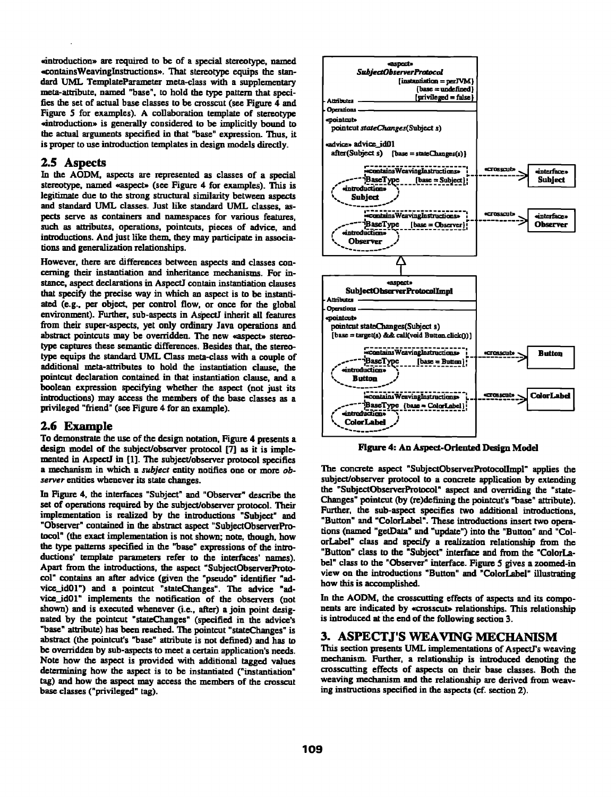• introduclion~ are required to be of a special stereotype, named ~contalnsWeavinglnst~'uctions~. That stereotype equips the standard UML TemplateParameter meta-class with a supplementary meta-attribute, named "base", to hold the type pattern that specifies the set of actual base classes to be crosscut (see Figure 4 and Figure 5 for examples). A collaboration template of stereotype ~introduction~ is generally considered to be implicitly bound to the actual arguments specified in that "base" expression. Thus, it is proper to use introduction templates in design models directly.

### **2.5** Aspects

In the AODM, aspects are represented as classes of a special stereotype, named «aspect» (see Figure 4 for examples). This is legitimate due to the strong structural similarity between aspects and standard UML classes. Just like standard UML classes, aspeers serve as containers and namespaces for various features, such as attributes, operations, pointcuts, pieces of advice, and introductions. And just like them, they may participate in associalions and generalization relationships.

However, there are differences between aspects and classes concerning their instantiation and inheritance mechanisms. For instance, aspect declarations in AspectJ contain instantiation clauses that specify the precise way in which an aspect is to be instantiatad (e.g., per object, per control flow, or once for the global environment). Further, sub-aspects in AspectJ inherit all features from their super-aspects, yet only ordinary Java operations and abstract pointcuts may be overridden. The new «aspect» stereotype captures these semantic differences. Besides that, the stereotype equips the standard UML Class meta-class with a couple of additional meta-attributes to hold the instantiation clause, the pointcut declaration contained in that instantiafion clause, and a boolean expression specifying whether the aspect (not just its introductions) may access the members of the base classes as a privileged "friend" (see Figure 4 for an example).

#### **2.6 Example**

To demonstrate the use of the design notation, Figure 4 presents a design model of the subject/observer protocol [7] as it is implemented in AspectJ in [I]. The subject/observer protocol specifies a mechanism in which a *subject* entity notifies one or more *observer* entities whenever its state changes.

In Figure 4, the interfaces "Subject" and "Observer" describe the set of operations required by the subject/observer protocol. Their implementation is realized by the introductions "Subject" and "Observer" contained in the abstract aspect "SubjectObserverProtocol" (the exact implementation is not shown; note, though, how the type patterns specified in the "base" expressions of the intmductions' template parameters refer to the interfaces' names). Apart from the introductions, the aspect "SubjectObserverProtocol" contains an after advice (given the "pseudo" identifier "advice\_id01") and a pointcut "stateChanges". The advice "advice\_id01" implements the notification of the observers (not shown) and is executed whenever (i.e., after) a join point desighated by the pointeut "stateChanges" (specified in the advice's "base" attribute) has been reached. The pointcut "stateChanges" is abstract (the pointcut's "base" attribute is not defined) and has to be overridden by sub-aspects to meet a certain application's needs. Note how the aspect is provided with additional tagged values determining how the aspect is to be instantiated ("instantiation" tag) and how the aspect may access the members of the crosscut base classes ("privileged" tag).



Figure 4: An Aspect-Oriented Design Model

The concrete aspect "SubjectObserverProtocollmpl" applies the subject/observer protocol to a concrete application by extending the "SubjectObserverProtocol" aspect and overriding the "state-Changes" pointcut (by (re)defining the pointcut's "base" attribute). Further, the sub-aspect specifies two additional introductions. "Button" and "ColorLabel". These introductions insert two operalions (named "getData" and "update") into the "Button" and "ColorLabel" class and specify a realization relationship from the "Button" class to the "Subject" interface and from the "ColorLabel" class to the "Observer" interface. Figure 5 gives a zoomed-in view on the introductions "Button" and "ColorLabel" illustrating how this is accomplished.

In the AODM, the crosscutting effects of aspects and its components are indicated by «crosscut» relationships. This relationship is introduced at the end of the following section 3.

# **3. ASPECTJ'S WEAVING MECHANISM**

This section presents UML implementations of AspectJ's weaving mechanism. Further, a relationship is introduced denoting the crosscutting effects of aspects on their base classes. Both the weaving mechanism and the relationship are derived from weaving instructions specified in the aspects (of. section 2).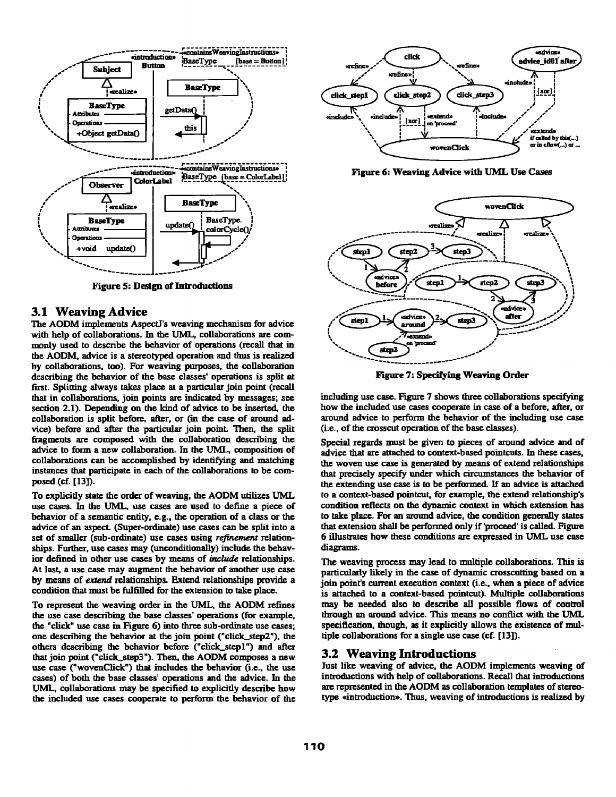

The AODM implements AspectJ's weaving mechanism for advice with help of collaborations. In the UML, collaborations are com-  $\sqrt{\frac{A_{\text{exympt}}}{A_{\text{exympt}}}}$ the AODM, advice is a stereotyped operation and thus is realized  $\left( \frac{\text{step2}}{2} \right)$ monly used to describe the behavior of operations (recall that in by collaborations, too). For weaving purposes, the collaboration describing the behavior of the base classes' operations is split at first. Splitting always takes place at a particular join point (recall that in collaborations, join points are indicated by messages; see section 2.1). Depending on the kind of advice to be inserted, the collaboration is split before, after, or (in the case of around advice) before and after the particular join point Then, the split fragments are composed with the collaboration describing the advice to form a new collaboration. In the UML, composition of collaborations can be accomplished by identifying and matching instances that participate in each of the collaborations to be composed (cf. [13]).

To explicitly state the order of weaving, the AODM utilizes UML use cases. In the UML, use cases are used to define a piece of behavior of a semantic entity, e.g., the operation of a class or the advice of an aspect. (Super-ordinate) use cases can be split into a set of smaller (sub-ordinate) use cases using refinement relationships. Further, use cases may (unconditionally) include the behavior defined in other use cases by means of include relationships. At last, a use case may augment the behavior of another use case by means of extend relationships. Extend relationships provide a condition that must be fulfilled for the extension to take place.

To represent the weaving order in the UML, the AODM refines the use case describing the base classes' operations (for example, the "click" use case in Figure 6) into three sub-ordinate use cases; one describing the behavior at the join point ("click\_step2"), the others describing the behavior before ("click\_step1") and after that join point ("click\_step3"). Then, the AODM composes a new use case ("wovenClick") that includes the behavior (i.e., the use cases) of both the base classes' operations and the advice. In the UML, collaborations may be specified to explicitly describe how the included use cases cooperate to perform the behavior of the





Figure 7: Specifying Weaving Order

including use case. Figure 7 shows three collaborations specifying how the included use cases cooperate in case of a before, after, or around advice to perform the behavior of the including use case (i.e., of the crosscut operation of the base classes).

Special regards must be given to pieces of around advice and of advice that are attached to context-based pointcuts. In these cases, the woven use case is generated by means of extend relationships that precisely specify under which circumstances the behavior of the extending use case is to be performed. If an advice is attached to a context-based pointcut, for example, the extend relationship's condition reflects on the dynamic context in which extension has to take place. For an around advice, the condition generally states that extension shall be performed only if 'proceed' is called. Figure 6 illustrates how these conditions are expressed in UML use case diagrams.

The weaving process may lead to multiple collaborations. This is particularly likely in the case of dynamic crosscutting based on a join point's current execution context (i.e., when a piece of advice is attached to a context-based pointcut). Multiple collaborations may be needed also to describe all possible flows of conlrol through an around advice. This means no conflict with the UML specification, though, as it explicitly allows the existence of multiple collaborations for a single use case (cf. [13]).

#### **3.2 Weaving Introductions**

Just like weaving of advice, the AODM implements weaving of introductions with help of collaborations. Recall that introductions are represented in the AODM as collaboration templates of stereotype «introduction». Thus, weaving of introductions is realized by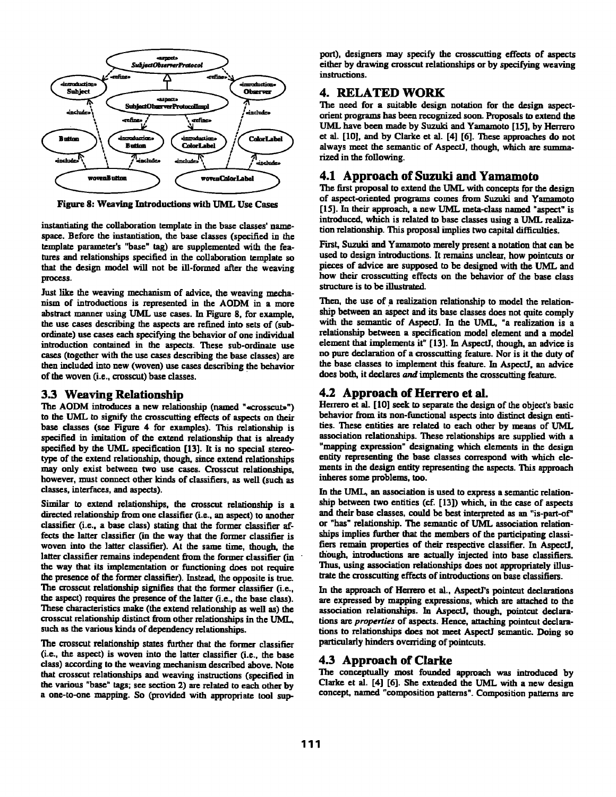

Figure 8: Weaving Introductions with UML Use Cases

instantiating the collaboration template in the base classes' namespace. Before the instantiation, the base classes (specified in the template parameter's "base" tag) are supplemented with the fentures and relationships specified in the coLlaboration template so that the design model will not be ill-formed after the weaving process.

Just like the weaving mechanism of advice, the weaving mechanism of introductions is represented in the AODM in a more abstract manner using UML use cases. In Figure 8, for example, the use cases describing the aspects are refined into sets of (subordinate) use cases each specifying the behavior of one individual introduction contained in the aspects. These sub-ordinate use cases (together with the use cases describing the base classes) are then included into new (woven) use cases describing the behavior of the woven (i.e., crosscut) base classes.

# **3.3 Weaving Relationship**

The AODM introduces a new relationship (named "«crosscut»") to the UML to signify the crosscutting effects of aspects on their base classes (see Figure 4 for examples). This relationship is specified in imitation of the extend relationship that is already specified by the UML specification [13]. It is no special stereotype of the extend relationship, though, since extend relationships may only exist between two use cases. Crosscut relationships, however, must connect other kinds of classifiers, as well (such as classes, interfaces, and aspects).

Similar to extend relationships, the crosscut relationship is a directed relationship from one classifier (i.e., an aspect) to another classifier (i.e.. a base class) stating that the former classifier affects the latter classifier (in the way that the former classifier is woven into the latter classifier). At the same time, though, the latter classifier remains independent from the former classifier (in the way that its implementation or functioning does not require the presence of the former classifier). Instead, the opposite is true. The crosscut relationship signifies that the former classifier (i.e., the aspect) requires the presence of the latter (i.e., the base class). These characteristics make (the extend relationship as well as) the crosscut relationship distinct from other relationships in the UML, such as the various kinds of dependency relationships.

The crosscut relationship states further that the former classifier (i.e., the aspect) is woven into the latter classifier (i.e., the base class) according to the weaving mechanism described above. Note that crosscut relationships and weaving instructions (specified in the various "base" tags; see section 2) are related to each other by a one-to-one mapping. So (provided with appropriate tool support), designers may specify the crosscutting effects of aspects either by drawing crosscut relationships or by specifying weaving instructions.

# **4. RELATED WORK**

The need for a suitable design notation for the design aspectorient programs has been recognized soon. Proposals to extend the UML have been made by Suzuki and Yamamoto [15], by Herrero et al. [10], and by Clarke et al. [4] [6]. These approaches do not always meet the semantic of AspectJ, though, which are summarized in the following.

# **4.1 Approach of Suzuki and Yamamoto**

The first proposal to extend the UML with concepts for the design of aspect-oriented programs comes from Suzuki and Yamamoto [15]. In their approach, a new UML meta-class named "aspect" is introduced, which is related to base classes using a UML realization relationship. This proposal implies two capital difficulties.

First, Suzuki and Yamamoto merely present a notation that can be used to design introductions. It remains unclear, how pointcuts or pieces of advice are supposed to be designed with the UML and how their crosscutting effects on the behavior of the base class structure is to be illustrated.

Then, the use of a realization relationship to model the relationship between an aspect and its base classes does not quite comply with the semantic of AspectJ. In the UML, "a realization is a relationship between a specification model element and a model element that implements it" [13]. In Aspectl, though, an advice is no pure declaration of a crosscutting feature. Nor is it the duty of the base classes to implement this feature. In AspectJ, an advice does both, it declares and implements the crosscutting feature.

# **4.2 Approach of Herrero et al.**

Herrero et al. [10] seek to separate the design of the object's basic behavior from its non-functional aspects into distinct design entities. These entities are related to each other by means of UML association relationships. These relationships are supplied with a "mapping expression" designating which elements in the design entity representing the base classes correspond with which elements in the design entity representing the aspects. This approach inheres some problems, too.

In the UML, an association is used to express a semantic relationship between two entities (cf. [13]) which, in the case of aspects and their base classes, could be best interpreted as an "is-part-of' or "has" relationship. The semantic of UML association relationships implies further that the members of the participating classifiers remain properties of their respective classifier. In AspectJ, though, introductions are actually injected into base classifiers. Thus, using association relationships does not appropriately illustrate the crosscutting effects of introductions on base classifiers.

In the approach of Herrero et al., AspectI's pointcut declarations are expressed by mapping expressions, which are attached to the association relationships. In AspectJ, though, pointcut declarations are *properties* of aspects. Hence, attaching pointcut declarations to relationships does not meet AspectJ semantic. Doing so particularly hinders overriding of pointcuts.

# **4.3 Approach of Clarke**

The conceptually most founded approach was introduced by Clarke et al. [4] [6]. She extended the UML with a new design concept, named "composition patterns". Composition patterns are